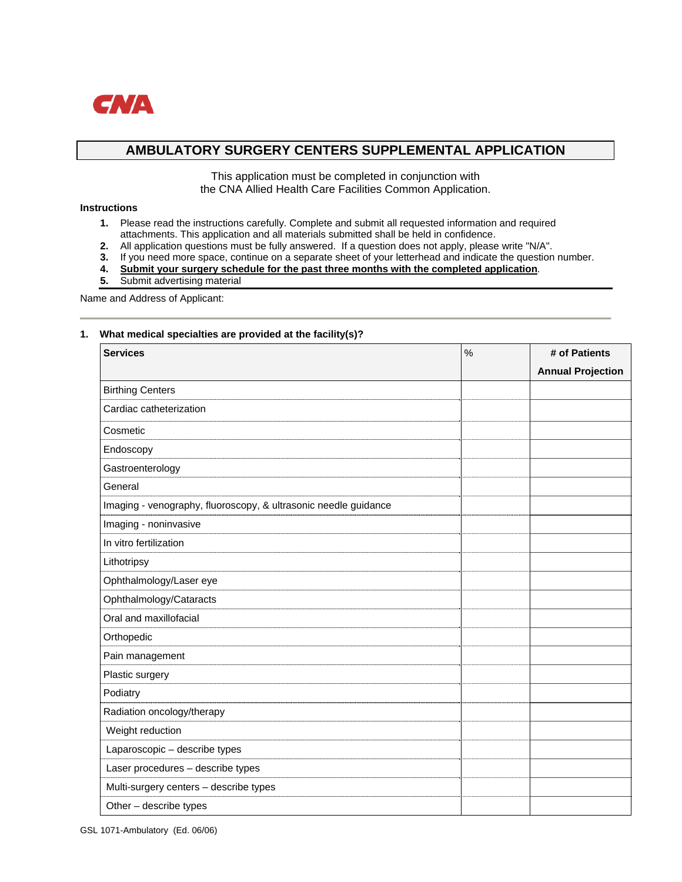

# **AMBULATORY SURGERY CENTERS SUPPLEMENTAL APPLICATION**

This application must be completed in conjunction with the CNA Allied Health Care Facilities Common Application.

### **Instructions**

- **1.** Please read the instructions carefully. Complete and submit all requested information and required attachments. This application and all materials submitted shall be held in confidence.<br>2. All application questions must be fully answered. If a question does not apply, please
- **2.** All application questions must be fully answered. If a question does not apply, please write "N/A".
- **3.** If you need more space, continue on a separate sheet of your letterhead and indicate the question number.
- **4. Submit your surgery schedule for the past three months with the completed application**.
- **5.** Submit advertising material

Name and Address of Applicant:

#### **1. What medical specialties are provided at the facility(s)?**

| <b>Services</b>                                                 | $\%$ | # of Patients            |
|-----------------------------------------------------------------|------|--------------------------|
|                                                                 |      | <b>Annual Projection</b> |
| <b>Birthing Centers</b>                                         |      |                          |
| Cardiac catheterization                                         |      |                          |
| Cosmetic                                                        |      |                          |
| Endoscopy                                                       |      |                          |
| Gastroenterology                                                |      |                          |
| General                                                         |      |                          |
| Imaging - venography, fluoroscopy, & ultrasonic needle guidance |      |                          |
| Imaging - noninvasive                                           |      |                          |
| In vitro fertilization                                          |      |                          |
| Lithotripsy                                                     |      |                          |
| Ophthalmology/Laser eye                                         |      |                          |
| Ophthalmology/Cataracts                                         |      |                          |
| Oral and maxillofacial                                          |      |                          |
| Orthopedic                                                      |      |                          |
| Pain management                                                 |      |                          |
| Plastic surgery                                                 |      |                          |
| Podiatry                                                        |      |                          |
| Radiation oncology/therapy                                      |      |                          |
| Weight reduction                                                |      |                          |
| Laparoscopic - describe types                                   |      |                          |
| Laser procedures - describe types                               |      |                          |
| Multi-surgery centers - describe types                          |      |                          |
| Other - describe types                                          |      |                          |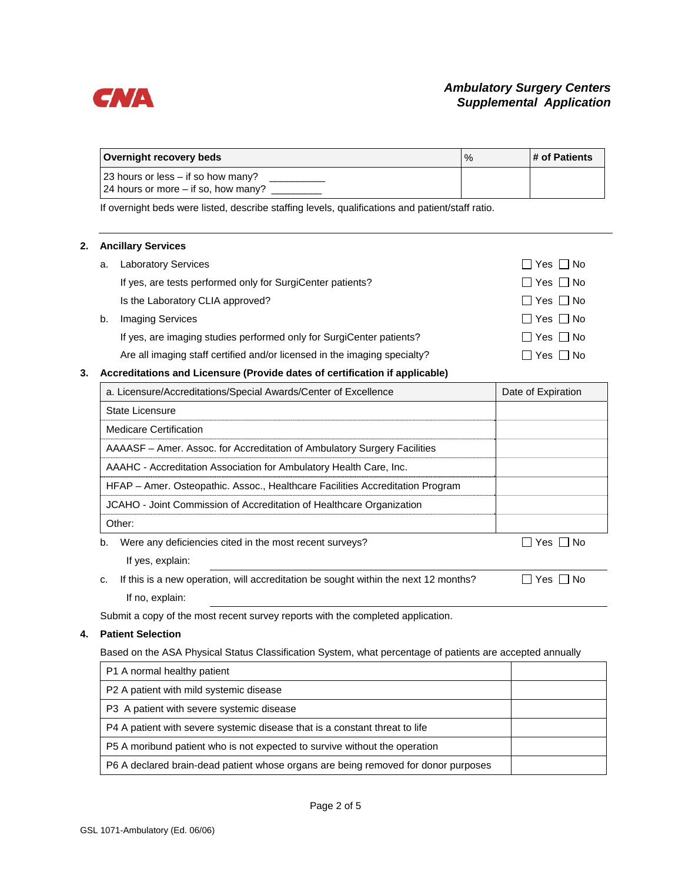

| Overnight recovery beds                                                     | $\%$ | l # of Patients |
|-----------------------------------------------------------------------------|------|-----------------|
| 23 hours or less – if so how many?<br>24 hours or more $-$ if so, how many? |      |                 |

If overnight beds were listed, describe staffing levels, qualifications and patient/staff ratio.

#### **2. Ancillary Services**

| a. | <b>Laboratory Services</b>                                                | $\Box$ Yes $\Box$ No |
|----|---------------------------------------------------------------------------|----------------------|
|    | If yes, are tests performed only for SurgiCenter patients?                | $\Box$ Yes $\Box$ No |
|    | Is the Laboratory CLIA approved?                                          | $\Box$ Yes $\Box$ No |
| b. | <b>Imaging Services</b>                                                   | □ Yes □ No           |
|    | If yes, are imaging studies performed only for SurgiCenter patients?      | $\Box$ Yes $\Box$ No |
|    | Are all imaging staff certified and/or licensed in the imaging specialty? | $\Box$ Yes $\Box$ No |

## **3. Accreditations and Licensure (Provide dates of certification if applicable)**

| a. Licensure/Accreditations/Special Awards/Center of Excellence                           | Date of Expiration |
|-------------------------------------------------------------------------------------------|--------------------|
| State Licensure                                                                           |                    |
| Medicare Certification                                                                    |                    |
| AAAASF – Amer. Assoc. for Accreditation of Ambulatory Surgery Facilities                  |                    |
| AAAHC - Accreditation Association for Ambulatory Health Care, Inc.                        |                    |
| HFAP – Amer. Osteopathic. Assoc., Healthcare Facilities Accreditation Program             |                    |
| JCAHO - Joint Commission of Accreditation of Healthcare Organization                      |                    |
| Other:                                                                                    |                    |
| Were any deficiencies cited in the most recent surveys?<br>b.                             | □ Yes □ No         |
| If yes, explain:                                                                          |                    |
| If this is a new operation, will accreditation be sought within the next 12 months?<br>c. | l I No<br>Yes      |

If no, explain:

Submit a copy of the most recent survey reports with the completed application.

#### **4. Patient Selection**

Based on the ASA Physical Status Classification System, what percentage of patients are accepted annually

| P1 A normal healthy patient                                                        |  |
|------------------------------------------------------------------------------------|--|
| P2 A patient with mild systemic disease                                            |  |
| P3 A patient with severe systemic disease                                          |  |
| P4 A patient with severe systemic disease that is a constant threat to life        |  |
| P5 A moribund patient who is not expected to survive without the operation         |  |
| P6 A declared brain-dead patient whose organs are being removed for donor purposes |  |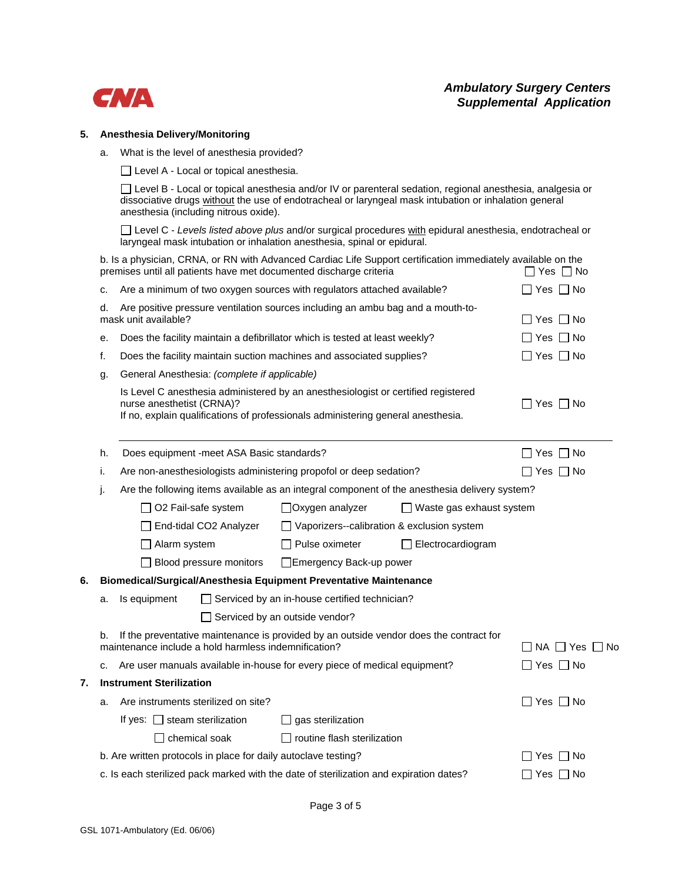

#### **5. Anesthesia Delivery/Monitoring**

a. What is the level of anesthesia provided?

□ Level A - Local or topical anesthesia.

□ Level B - Local or topical anesthesia and/or IV or parenteral sedation, regional anesthesia, analgesia or dissociative drugs without the use of endotracheal or laryngeal mask intubation or inhalation general anesthesia (including nitrous oxide).

 Level C - *Levels listed above plus* and/or surgical procedures with epidural anesthesia, endotracheal or laryngeal mask intubation or inhalation anesthesia, spinal or epidural.

b. Is a physician, CRNA, or RN with Advanced Cardiac Life Support certification immediately available on the premises until all patients have met documented discharge criteria  $\square$  Yes  $\square$  No

|    | c.                                                                                                                                                   |                                    |                                              | Are a minimum of two oxygen sources with regulators attached available?                                                                                               |                                                                                               | ]Yes □ No            |
|----|------------------------------------------------------------------------------------------------------------------------------------------------------|------------------------------------|----------------------------------------------|-----------------------------------------------------------------------------------------------------------------------------------------------------------------------|-----------------------------------------------------------------------------------------------|----------------------|
|    | Are positive pressure ventilation sources including an ambu bag and a mouth-to-<br>d.<br>mask unit available?                                        |                                    |                                              |                                                                                                                                                                       | ∏ Yes ∏ No                                                                                    |                      |
|    | е.                                                                                                                                                   |                                    |                                              | Does the facility maintain a defibrillator which is tested at least weekly?                                                                                           |                                                                                               | ∃Yes ∏ No            |
|    | f.                                                                                                                                                   |                                    |                                              | Does the facility maintain suction machines and associated supplies?                                                                                                  |                                                                                               | ]Yes 冂 No            |
|    | g.                                                                                                                                                   |                                    | General Anesthesia: (complete if applicable) |                                                                                                                                                                       |                                                                                               |                      |
|    |                                                                                                                                                      | nurse anesthetist (CRNA)?          |                                              | Is Level C anesthesia administered by an anesthesiologist or certified registered<br>If no, explain qualifications of professionals administering general anesthesia. |                                                                                               | ΠYes ΠNo             |
|    | h.                                                                                                                                                   |                                    | Does equipment -meet ASA Basic standards?    |                                                                                                                                                                       |                                                                                               | $\Box$ Yes $\Box$ No |
|    | i.                                                                                                                                                   |                                    |                                              | Are non-anesthesiologists administering propofol or deep sedation?                                                                                                    |                                                                                               | Yes $\Box$ No        |
|    | J.                                                                                                                                                   |                                    |                                              |                                                                                                                                                                       | Are the following items available as an integral component of the anesthesia delivery system? |                      |
|    |                                                                                                                                                      |                                    | $\Box$ O2 Fail-safe system                   | $\Box$ Oxygen analyzer                                                                                                                                                | $\Box$ Waste gas exhaust system                                                               |                      |
|    |                                                                                                                                                      |                                    | End-tidal CO2 Analyzer                       |                                                                                                                                                                       | $\Box$ Vaporizers--calibration & exclusion system                                             |                      |
|    |                                                                                                                                                      | $\Box$ Alarm system                |                                              | $\Box$ Pulse oximeter                                                                                                                                                 | $\Box$ Electrocardiogram                                                                      |                      |
|    |                                                                                                                                                      |                                    | $\Box$ Blood pressure monitors               | Emergency Back-up power                                                                                                                                               |                                                                                               |                      |
| 6. |                                                                                                                                                      |                                    |                                              | Biomedical/Surgical/Anesthesia Equipment Preventative Maintenance                                                                                                     |                                                                                               |                      |
|    | a.                                                                                                                                                   | Is equipment                       |                                              | $\Box$ Serviced by an in-house certified technician?                                                                                                                  |                                                                                               |                      |
|    |                                                                                                                                                      |                                    |                                              | Serviced by an outside vendor?                                                                                                                                        |                                                                                               |                      |
|    | If the preventative maintenance is provided by an outside vendor does the contract for<br>b.<br>maintenance include a hold harmless indemnification? |                                    |                                              |                                                                                                                                                                       | $\Box$ NA $\Box$ Yes $\Box$ No                                                                |                      |
|    | c.                                                                                                                                                   |                                    |                                              | Are user manuals available in-house for every piece of medical equipment?                                                                                             |                                                                                               | $\Box$ Yes $\Box$ No |
| 7. | <b>Instrument Sterilization</b>                                                                                                                      |                                    |                                              |                                                                                                                                                                       |                                                                                               |                      |
|    | a.                                                                                                                                                   |                                    | Are instruments sterilized on site?          |                                                                                                                                                                       |                                                                                               | $\Box$ Yes $\Box$ No |
|    |                                                                                                                                                      | If yes: $\Box$ steam sterilization |                                              | $\Box$ gas sterilization                                                                                                                                              |                                                                                               |                      |
|    |                                                                                                                                                      |                                    | $\Box$ chemical soak                         | $\Box$ routine flash sterilization                                                                                                                                    |                                                                                               |                      |
|    |                                                                                                                                                      |                                    |                                              | b. Are written protocols in place for daily autoclave testing?                                                                                                        |                                                                                               | Yes I I No           |
|    |                                                                                                                                                      |                                    |                                              | c. Is each sterilized pack marked with the date of sterilization and expiration dates?                                                                                |                                                                                               | Yes $\Box$ No        |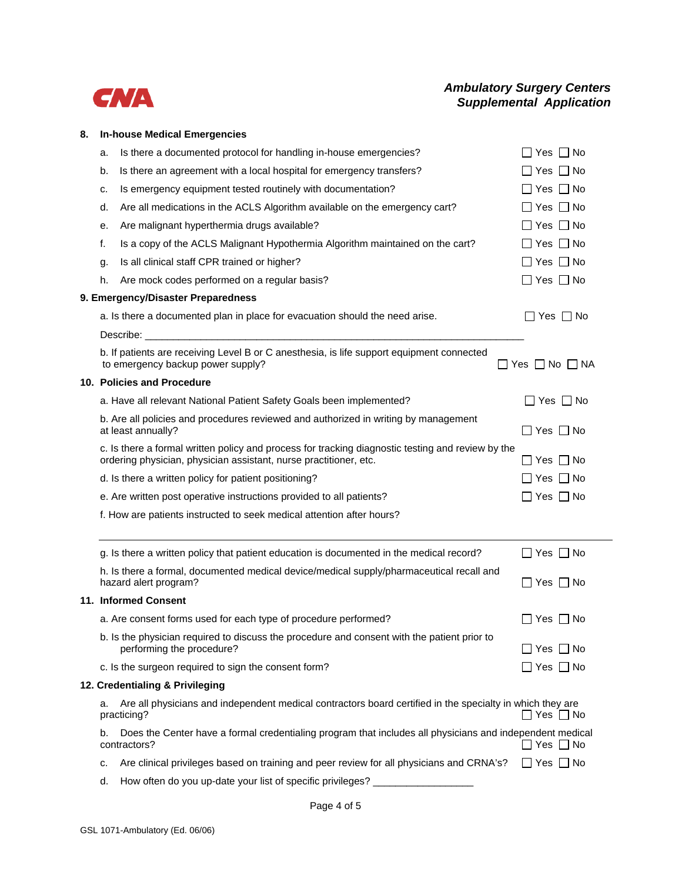

# *Ambulatory Surgery Centers Supplemental Application*

# **8. In-house Medical Emergencies**

| a. | Is there a documented protocol for handling in-house emergencies?                                                                                                      | $Yes \Box No$           |
|----|------------------------------------------------------------------------------------------------------------------------------------------------------------------------|-------------------------|
| b. | Is there an agreement with a local hospital for emergency transfers?                                                                                                   | ⊃ Yes □ No              |
| c. | Is emergency equipment tested routinely with documentation?                                                                                                            | $\Box$ Yes $\Box$ No    |
| d. | Are all medications in the ACLS Algorithm available on the emergency cart?                                                                                             | $\Box$ Yes $\Box$ No    |
| е. | Are malignant hyperthermia drugs available?                                                                                                                            | $\Box$ Yes $\Box$ No    |
| f. | Is a copy of the ACLS Malignant Hypothermia Algorithm maintained on the cart?                                                                                          | $\Box$ Yes $\Box$ No    |
| g. | Is all clinical staff CPR trained or higher?                                                                                                                           | $\Box$ Yes $\Box$ No    |
| h. | Are mock codes performed on a regular basis?                                                                                                                           | $\Box$ Yes $\Box$ No    |
|    | 9. Emergency/Disaster Preparedness                                                                                                                                     |                         |
|    | a. Is there a documented plan in place for evacuation should the need arise.                                                                                           | $\Box$ Yes $\Box$ No    |
|    |                                                                                                                                                                        |                         |
|    | b. If patients are receiving Level B or C anesthesia, is life support equipment connected<br>to emergency backup power supply?                                         | □ Yes □ No □ NA         |
|    | 10. Policies and Procedure                                                                                                                                             |                         |
|    | a. Have all relevant National Patient Safety Goals been implemented?                                                                                                   | Yes $\Box$ No           |
|    | b. Are all policies and procedures reviewed and authorized in writing by management<br>at least annually?                                                              | $\Box$ Yes $\Box$ No    |
|    | c. Is there a formal written policy and process for tracking diagnostic testing and review by the<br>ordering physician, physician assistant, nurse practitioner, etc. |                         |
|    | d. Is there a written policy for patient positioning?                                                                                                                  |                         |
|    | e. Are written post operative instructions provided to all patients?                                                                                                   | $\Box$ Yes $\Box$ No    |
|    | f. How are patients instructed to seek medical attention after hours?                                                                                                  |                         |
|    | g. Is there a written policy that patient education is documented in the medical record?                                                                               | $\Box$ Yes $\Box$ No    |
|    | h. Is there a formal, documented medical device/medical supply/pharmaceutical recall and<br>hazard alert program?                                                      | $\Box$ Yes $\Box$ No    |
|    | 11. Informed Consent                                                                                                                                                   |                         |
|    | a. Are consent forms used for each type of procedure performed?                                                                                                        | Yes  No                 |
|    | b. Is the physician required to discuss the procedure and consent with the patient prior to<br>performing the procedure?                                               | $\Box$ Yes $\Box$ No    |
|    | c. Is the surgeon required to sign the consent form?                                                                                                                   | │Yes │ No               |
|    | 12. Credentialing & Privileging                                                                                                                                        |                         |
| a. | Are all physicians and independent medical contractors board certified in the specialty in which they are<br>practicing?                                               | ∩ Yes ∩ No              |
| b. | Does the Center have a formal credentialing program that includes all physicians and independent medical<br>contractors?                                               | $\exists$ Yes $\Box$ No |
| c. | Are clinical privileges based on training and peer review for all physicians and CRNA's?                                                                               | $\Box$ Yes $\Box$ No    |
| d. | How often do you up-date your list of specific privileges?                                                                                                             |                         |